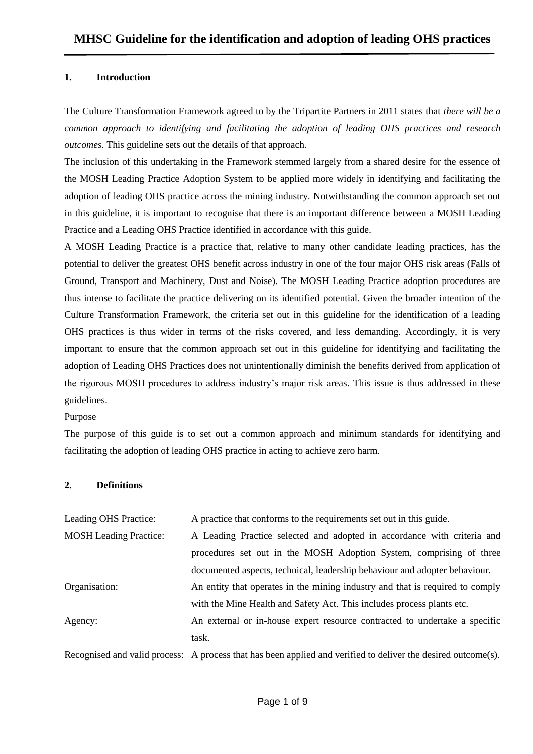#### **1. Introduction**

The Culture Transformation Framework agreed to by the Tripartite Partners in 2011 states that *there will be a common approach to identifying and facilitating the adoption of leading OHS practices and research outcomes.* This guideline sets out the details of that approach.

The inclusion of this undertaking in the Framework stemmed largely from a shared desire for the essence of the MOSH Leading Practice Adoption System to be applied more widely in identifying and facilitating the adoption of leading OHS practice across the mining industry. Notwithstanding the common approach set out in this guideline, it is important to recognise that there is an important difference between a MOSH Leading Practice and a Leading OHS Practice identified in accordance with this guide.

A MOSH Leading Practice is a practice that, relative to many other candidate leading practices, has the potential to deliver the greatest OHS benefit across industry in one of the four major OHS risk areas (Falls of Ground, Transport and Machinery, Dust and Noise). The MOSH Leading Practice adoption procedures are thus intense to facilitate the practice delivering on its identified potential. Given the broader intention of the Culture Transformation Framework, the criteria set out in this guideline for the identification of a leading OHS practices is thus wider in terms of the risks covered, and less demanding. Accordingly, it is very important to ensure that the common approach set out in this guideline for identifying and facilitating the adoption of Leading OHS Practices does not unintentionally diminish the benefits derived from application of the rigorous MOSH procedures to address industry's major risk areas. This issue is thus addressed in these guidelines.

#### Purpose

The purpose of this guide is to set out a common approach and minimum standards for identifying and facilitating the adoption of leading OHS practice in acting to achieve zero harm.

#### **2. Definitions**

| Leading OHS Practice:         | A practice that conforms to the requirements set out in this guide.                                           |
|-------------------------------|---------------------------------------------------------------------------------------------------------------|
| <b>MOSH</b> Leading Practice: | A Leading Practice selected and adopted in accordance with criteria and                                       |
|                               | procedures set out in the MOSH Adoption System, comprising of three                                           |
|                               | documented aspects, technical, leadership behaviour and adopter behaviour.                                    |
| Organisation:                 | An entity that operates in the mining industry and that is required to comply                                 |
|                               | with the Mine Health and Safety Act. This includes process plants etc.                                        |
| Agency:                       | An external or in-house expert resource contracted to undertake a specific                                    |
|                               | task.                                                                                                         |
|                               | Recognised and valid process: A process that has been applied and verified to deliver the desired outcome(s). |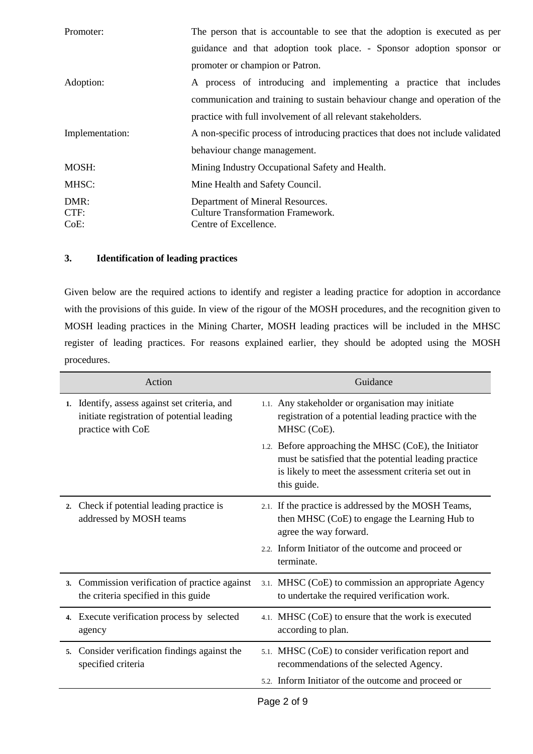| Promoter:            | The person that is accountable to see that the adoption is executed as per                            |
|----------------------|-------------------------------------------------------------------------------------------------------|
|                      | guidance and that adoption took place. - Sponsor adoption sponsor or                                  |
|                      | promoter or champion or Patron.                                                                       |
| Adoption:            | A process of introducing and implementing a practice that includes                                    |
|                      | communication and training to sustain behaviour change and operation of the                           |
|                      | practice with full involvement of all relevant stakeholders.                                          |
| Implementation:      | A non-specific process of introducing practices that does not include validated                       |
|                      | behaviour change management.                                                                          |
| MOSH:                | Mining Industry Occupational Safety and Health.                                                       |
| MHSC:                | Mine Health and Safety Council.                                                                       |
| DMR:<br>CTF:<br>CoE: | Department of Mineral Resources.<br><b>Culture Transformation Framework.</b><br>Centre of Excellence. |

# **3. Identification of leading practices**

Given below are the required actions to identify and register a leading practice for adoption in accordance with the provisions of this guide. In view of the rigour of the MOSH procedures, and the recognition given to MOSH leading practices in the Mining Charter, MOSH leading practices will be included in the MHSC register of leading practices. For reasons explained earlier, they should be adopted using the MOSH procedures.

|    | Action                                                                                                           | Guidance                                                                                                                                                                              |
|----|------------------------------------------------------------------------------------------------------------------|---------------------------------------------------------------------------------------------------------------------------------------------------------------------------------------|
|    | 1. Identify, assess against set criteria, and<br>initiate registration of potential leading<br>practice with CoE | 1.1. Any stakeholder or organisation may initiate<br>registration of a potential leading practice with the<br>MHSC (CoE).                                                             |
|    |                                                                                                                  | 1.2. Before approaching the MHSC (CoE), the Initiator<br>must be satisfied that the potential leading practice<br>is likely to meet the assessment criteria set out in<br>this guide. |
| 2. | Check if potential leading practice is<br>addressed by MOSH teams                                                | 2.1. If the practice is addressed by the MOSH Teams,<br>then MHSC (CoE) to engage the Learning Hub to<br>agree the way forward.                                                       |
|    |                                                                                                                  | 2.2. Inform Initiator of the outcome and proceed or<br>terminate.                                                                                                                     |
|    | 3. Commission verification of practice against<br>the criteria specified in this guide                           | 3.1. MHSC (CoE) to commission an appropriate Agency<br>to undertake the required verification work.                                                                                   |
|    | 4. Execute verification process by selected<br>agency                                                            | 4.1. MHSC (CoE) to ensure that the work is executed<br>according to plan.                                                                                                             |
| 5. | Consider verification findings against the<br>specified criteria                                                 | 5.1. MHSC (CoE) to consider verification report and<br>recommendations of the selected Agency.                                                                                        |
|    |                                                                                                                  | 5.2. Inform Initiator of the outcome and proceed or                                                                                                                                   |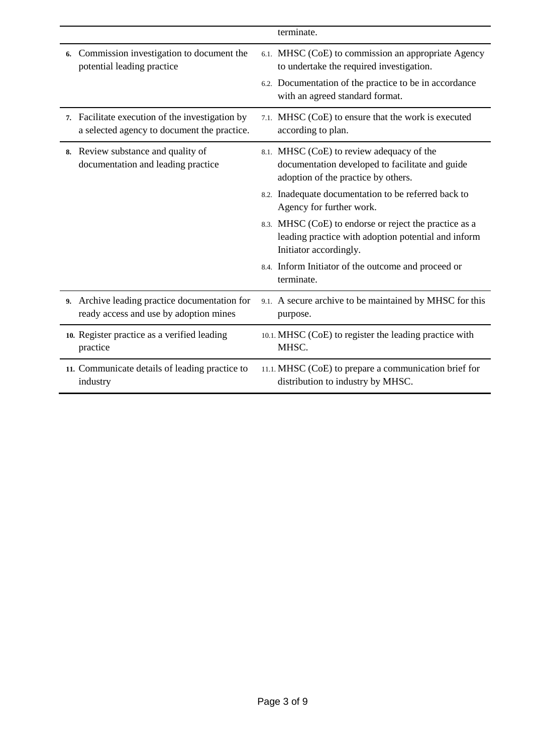|                                                                                                | terminate.                                                                                                                                                                                   |
|------------------------------------------------------------------------------------------------|----------------------------------------------------------------------------------------------------------------------------------------------------------------------------------------------|
| Commission investigation to document the<br>6.<br>potential leading practice                   | 6.1. MHSC (CoE) to commission an appropriate Agency<br>to undertake the required investigation.<br>6.2. Documentation of the practice to be in accordance<br>with an agreed standard format. |
|                                                                                                |                                                                                                                                                                                              |
| 7. Facilitate execution of the investigation by<br>a selected agency to document the practice. | 7.1. MHSC (CoE) to ensure that the work is executed<br>according to plan.                                                                                                                    |
| 8. Review substance and quality of<br>documentation and leading practice                       | 8.1. MHSC (CoE) to review adequacy of the<br>documentation developed to facilitate and guide<br>adoption of the practice by others.                                                          |
|                                                                                                | 8.2. Inadequate documentation to be referred back to<br>Agency for further work.                                                                                                             |
|                                                                                                | 8.3. MHSC (CoE) to endorse or reject the practice as a<br>leading practice with adoption potential and inform<br>Initiator accordingly.                                                      |
|                                                                                                | 8.4. Inform Initiator of the outcome and proceed or<br>terminate.                                                                                                                            |
| 9. Archive leading practice documentation for<br>ready access and use by adoption mines        | 9.1. A secure archive to be maintained by MHSC for this<br>purpose.                                                                                                                          |
| 10. Register practice as a verified leading<br>practice                                        | 10.1. MHSC (CoE) to register the leading practice with<br>MHSC.                                                                                                                              |
| 11. Communicate details of leading practice to<br>industry                                     | 11.1. MHSC (CoE) to prepare a communication brief for<br>distribution to industry by MHSC.                                                                                                   |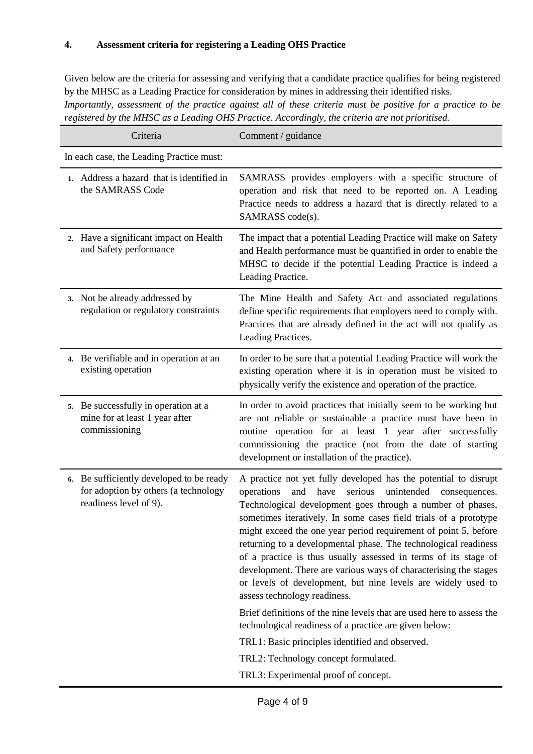# **4. Assessment criteria for registering a Leading OHS Practice**

Given below are the criteria for assessing and verifying that a candidate practice qualifies for being registered by the MHSC as a Leading Practice for consideration by mines in addressing their identified risks. *Importantly, assessment of the practice against all of these criteria must be positive for a practice to be registered by the MHSC as a Leading OHS Practice. Accordingly, the criteria are not prioritised.* 

| Criteria                                                                                                   | Comment / guidance                                                                                                                                                                                                                                                                                                                                                                                                                                                                                                                                                                                                                                                                                                                                                                       |  |  |  |
|------------------------------------------------------------------------------------------------------------|------------------------------------------------------------------------------------------------------------------------------------------------------------------------------------------------------------------------------------------------------------------------------------------------------------------------------------------------------------------------------------------------------------------------------------------------------------------------------------------------------------------------------------------------------------------------------------------------------------------------------------------------------------------------------------------------------------------------------------------------------------------------------------------|--|--|--|
| In each case, the Leading Practice must:                                                                   |                                                                                                                                                                                                                                                                                                                                                                                                                                                                                                                                                                                                                                                                                                                                                                                          |  |  |  |
| 1. Address a hazard that is identified in<br>the SAMRASS Code                                              | SAMRASS provides employers with a specific structure of<br>operation and risk that need to be reported on. A Leading<br>Practice needs to address a hazard that is directly related to a<br>SAMRASS code(s).                                                                                                                                                                                                                                                                                                                                                                                                                                                                                                                                                                             |  |  |  |
| 2. Have a significant impact on Health<br>and Safety performance                                           | The impact that a potential Leading Practice will make on Safety<br>and Health performance must be quantified in order to enable the<br>MHSC to decide if the potential Leading Practice is indeed a<br>Leading Practice.                                                                                                                                                                                                                                                                                                                                                                                                                                                                                                                                                                |  |  |  |
| 3. Not be already addressed by<br>regulation or regulatory constraints                                     | The Mine Health and Safety Act and associated regulations<br>define specific requirements that employers need to comply with.<br>Practices that are already defined in the act will not qualify as<br>Leading Practices.                                                                                                                                                                                                                                                                                                                                                                                                                                                                                                                                                                 |  |  |  |
| 4. Be verifiable and in operation at an<br>existing operation                                              | In order to be sure that a potential Leading Practice will work the<br>existing operation where it is in operation must be visited to<br>physically verify the existence and operation of the practice.                                                                                                                                                                                                                                                                                                                                                                                                                                                                                                                                                                                  |  |  |  |
| 5. Be successfully in operation at a<br>mine for at least 1 year after<br>commissioning                    | In order to avoid practices that initially seem to be working but<br>are not reliable or sustainable a practice must have been in<br>routine operation for at least 1 year after successfully<br>commissioning the practice (not from the date of starting<br>development or installation of the practice).                                                                                                                                                                                                                                                                                                                                                                                                                                                                              |  |  |  |
| 6. Be sufficiently developed to be ready<br>for adoption by others (a technology<br>readiness level of 9). | A practice not yet fully developed has the potential to disrupt<br>serious<br>unintended<br>operations<br>and<br>have<br>consequences.<br>Technological development goes through a number of phases,<br>sometimes iteratively. In some cases field trials of a prototype<br>might exceed the one year period requirement of point 5, before<br>returning to a developmental phase. The technological readiness<br>of a practice is thus usually assessed in terms of its stage of<br>development. There are various ways of characterising the stages<br>or levels of development, but nine levels are widely used to<br>assess technology readiness.<br>Brief definitions of the nine levels that are used here to assess the<br>technological readiness of a practice are given below: |  |  |  |
|                                                                                                            | TRL1: Basic principles identified and observed.                                                                                                                                                                                                                                                                                                                                                                                                                                                                                                                                                                                                                                                                                                                                          |  |  |  |
|                                                                                                            | TRL2: Technology concept formulated.<br>TRL3: Experimental proof of concept.                                                                                                                                                                                                                                                                                                                                                                                                                                                                                                                                                                                                                                                                                                             |  |  |  |
|                                                                                                            |                                                                                                                                                                                                                                                                                                                                                                                                                                                                                                                                                                                                                                                                                                                                                                                          |  |  |  |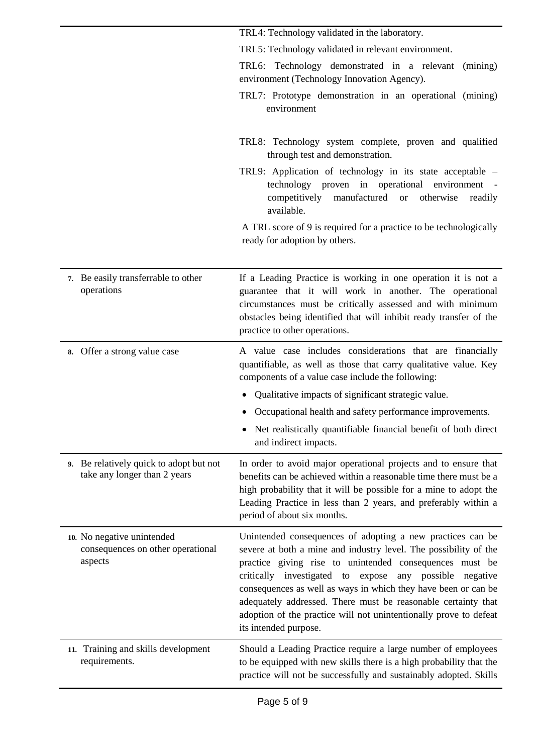|                                                                            | TRL4: Technology validated in the laboratory.                                                                                                                                                                                                                                                                                                                                                                                                                                            |
|----------------------------------------------------------------------------|------------------------------------------------------------------------------------------------------------------------------------------------------------------------------------------------------------------------------------------------------------------------------------------------------------------------------------------------------------------------------------------------------------------------------------------------------------------------------------------|
|                                                                            | TRL5: Technology validated in relevant environment.                                                                                                                                                                                                                                                                                                                                                                                                                                      |
|                                                                            | TRL6: Technology demonstrated in a relevant<br>(mining)<br>environment (Technology Innovation Agency).                                                                                                                                                                                                                                                                                                                                                                                   |
|                                                                            | TRL7: Prototype demonstration in an operational (mining)<br>environment                                                                                                                                                                                                                                                                                                                                                                                                                  |
|                                                                            | TRL8: Technology system complete, proven and qualified<br>through test and demonstration.                                                                                                                                                                                                                                                                                                                                                                                                |
|                                                                            | TRL9: Application of technology in its state acceptable -<br>technology proven in operational environment<br>competitively<br>manufactured<br>otherwise<br><b>or</b><br>readily<br>available.                                                                                                                                                                                                                                                                                            |
|                                                                            | A TRL score of 9 is required for a practice to be technologically<br>ready for adoption by others.                                                                                                                                                                                                                                                                                                                                                                                       |
| 7. Be easily transferrable to other<br>operations                          | If a Leading Practice is working in one operation it is not a<br>guarantee that it will work in another. The operational<br>circumstances must be critically assessed and with minimum<br>obstacles being identified that will inhibit ready transfer of the<br>practice to other operations.                                                                                                                                                                                            |
| Offer a strong value case<br>8.                                            | A value case includes considerations that are financially<br>quantifiable, as well as those that carry qualitative value. Key<br>components of a value case include the following:                                                                                                                                                                                                                                                                                                       |
|                                                                            | Qualitative impacts of significant strategic value.                                                                                                                                                                                                                                                                                                                                                                                                                                      |
|                                                                            | Occupational health and safety performance improvements.                                                                                                                                                                                                                                                                                                                                                                                                                                 |
|                                                                            | Net realistically quantifiable financial benefit of both direct<br>and indirect impacts.                                                                                                                                                                                                                                                                                                                                                                                                 |
| 9. Be relatively quick to adopt but not<br>take any longer than 2 years    | In order to avoid major operational projects and to ensure that<br>benefits can be achieved within a reasonable time there must be a<br>high probability that it will be possible for a mine to adopt the<br>Leading Practice in less than 2 years, and preferably within a<br>period of about six months.                                                                                                                                                                               |
| 10. No negative unintended<br>consequences on other operational<br>aspects | Unintended consequences of adopting a new practices can be<br>severe at both a mine and industry level. The possibility of the<br>practice giving rise to unintended consequences must be<br>critically investigated to expose any possible<br>negative<br>consequences as well as ways in which they have been or can be<br>adequately addressed. There must be reasonable certainty that<br>adoption of the practice will not unintentionally prove to defeat<br>its intended purpose. |
| 11. Training and skills development<br>requirements.                       | Should a Leading Practice require a large number of employees<br>to be equipped with new skills there is a high probability that the<br>practice will not be successfully and sustainably adopted. Skills                                                                                                                                                                                                                                                                                |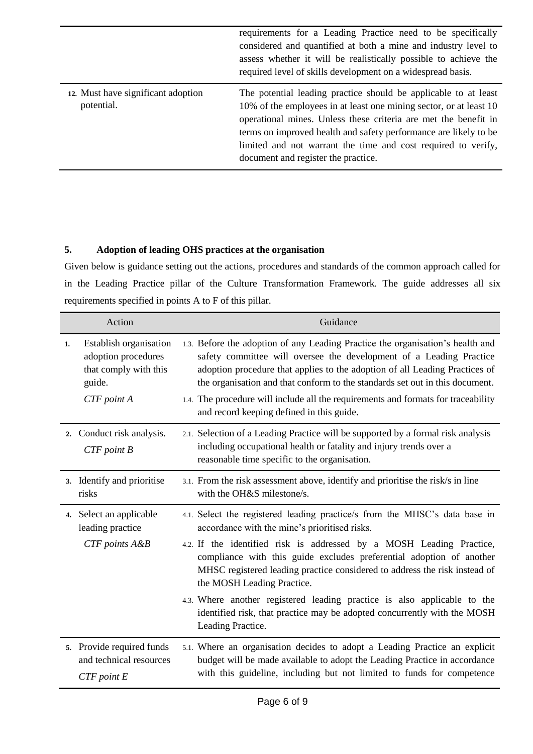|                                                  | requirements for a Leading Practice need to be specifically<br>considered and quantified at both a mine and industry level to<br>assess whether it will be realistically possible to achieve the<br>required level of skills development on a widespread basis.                                                                                                                      |
|--------------------------------------------------|--------------------------------------------------------------------------------------------------------------------------------------------------------------------------------------------------------------------------------------------------------------------------------------------------------------------------------------------------------------------------------------|
| 12. Must have significant adoption<br>potential. | The potential leading practice should be applicable to at least<br>10% of the employees in at least one mining sector, or at least 10<br>operational mines. Unless these criteria are met the benefit in<br>terms on improved health and safety performance are likely to be<br>limited and not warrant the time and cost required to verify,<br>document and register the practice. |

# **5. Adoption of leading OHS practices at the organisation**

Given below is guidance setting out the actions, procedures and standards of the common approach called for in the Leading Practice pillar of the Culture Transformation Framework. The guide addresses all six requirements specified in points A to F of this pillar.

|    | Action                                                                           | Guidance                                                                                                                                                                                                                                                                                                             |
|----|----------------------------------------------------------------------------------|----------------------------------------------------------------------------------------------------------------------------------------------------------------------------------------------------------------------------------------------------------------------------------------------------------------------|
| 1. | Establish organisation<br>adoption procedures<br>that comply with this<br>guide. | 1.3. Before the adoption of any Leading Practice the organisation's health and<br>safety committee will oversee the development of a Leading Practice<br>adoption procedure that applies to the adoption of all Leading Practices of<br>the organisation and that conform to the standards set out in this document. |
|    | CTF point A                                                                      | 1.4. The procedure will include all the requirements and formats for traceability<br>and record keeping defined in this guide.                                                                                                                                                                                       |
|    | 2. Conduct risk analysis.<br>$CTF$ point $B$                                     | 2.1. Selection of a Leading Practice will be supported by a formal risk analysis<br>including occupational health or fatality and injury trends over a<br>reasonable time specific to the organisation.                                                                                                              |
|    | 3. Identify and prioritise<br>risks                                              | 3.1. From the risk assessment above, identify and prioritise the risk/s in line<br>with the OH&S milestone/s.                                                                                                                                                                                                        |
|    | 4. Select an applicable<br>leading practice                                      | 4.1. Select the registered leading practice/s from the MHSC's data base in<br>accordance with the mine's prioritised risks.                                                                                                                                                                                          |
|    | CTF points A&B                                                                   | 4.2. If the identified risk is addressed by a MOSH Leading Practice,<br>compliance with this guide excludes preferential adoption of another<br>MHSC registered leading practice considered to address the risk instead of<br>the MOSH Leading Practice.                                                             |
|    |                                                                                  | 4.3. Where another registered leading practice is also applicable to the<br>identified risk, that practice may be adopted concurrently with the MOSH<br>Leading Practice.                                                                                                                                            |
|    | 5. Provide required funds<br>and technical resources<br>$CTF$ point $E$          | 5.1. Where an organisation decides to adopt a Leading Practice an explicit<br>budget will be made available to adopt the Leading Practice in accordance<br>with this guideline, including but not limited to funds for competence                                                                                    |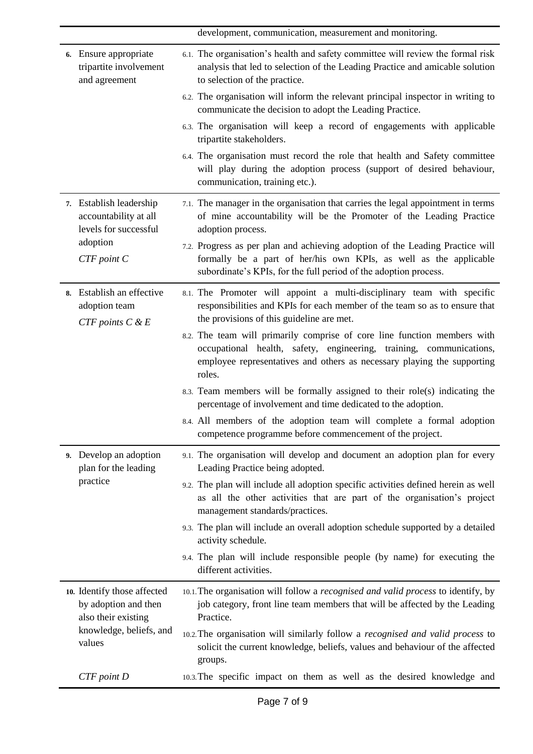development, communication, measurement and monitoring.

| 6. Ensure appropriate<br>tripartite involvement<br>and agreement           | 6.1. The organisation's health and safety committee will review the formal risk<br>analysis that led to selection of the Leading Practice and amicable solution<br>to selection of the practice.                                     |
|----------------------------------------------------------------------------|--------------------------------------------------------------------------------------------------------------------------------------------------------------------------------------------------------------------------------------|
|                                                                            | 6.2. The organisation will inform the relevant principal inspector in writing to<br>communicate the decision to adopt the Leading Practice.                                                                                          |
|                                                                            | 6.3. The organisation will keep a record of engagements with applicable<br>tripartite stakeholders.                                                                                                                                  |
|                                                                            | 6.4. The organisation must record the role that health and Safety committee<br>will play during the adoption process (support of desired behaviour,<br>communication, training etc.).                                                |
| 7. Establish leadership<br>accountability at all<br>levels for successful  | 7.1. The manager in the organisation that carries the legal appointment in terms<br>of mine accountability will be the Promoter of the Leading Practice<br>adoption process.                                                         |
| adoption<br>$CTF$ point $C$                                                | 7.2. Progress as per plan and achieving adoption of the Leading Practice will<br>formally be a part of her/his own KPIs, as well as the applicable<br>subordinate's KPIs, for the full period of the adoption process.               |
| 8. Establish an effective<br>adoption team<br>$CTF$ points $C$ & $E$       | 8.1. The Promoter will appoint a multi-disciplinary team with specific<br>responsibilities and KPIs for each member of the team so as to ensure that<br>the provisions of this guideline are met.                                    |
|                                                                            | 8.2. The team will primarily comprise of core line function members with<br>occupational health, safety, engineering, training, communications,<br>employee representatives and others as necessary playing the supporting<br>roles. |
|                                                                            | 8.3. Team members will be formally assigned to their role(s) indicating the<br>percentage of involvement and time dedicated to the adoption.                                                                                         |
|                                                                            | 8.4. All members of the adoption team will complete a formal adoption<br>competence programme before commencement of the project.                                                                                                    |
| 9. Develop an adoption<br>plan for the leading                             | 9.1. The organisation will develop and document an adoption plan for every<br>Leading Practice being adopted.                                                                                                                        |
| practice                                                                   | 9.2. The plan will include all adoption specific activities defined herein as well<br>as all the other activities that are part of the organisation's project<br>management standards/practices.                                     |
|                                                                            | 9.3. The plan will include an overall adoption schedule supported by a detailed<br>activity schedule.                                                                                                                                |
|                                                                            | 9.4. The plan will include responsible people (by name) for executing the<br>different activities.                                                                                                                                   |
| 10. Identify those affected<br>by adoption and then<br>also their existing | 10.1. The organisation will follow a recognised and valid process to identify, by<br>job category, front line team members that will be affected by the Leading<br>Practice.                                                         |
| knowledge, beliefs, and<br>values                                          | 10.2. The organisation will similarly follow a recognised and valid process to<br>solicit the current knowledge, beliefs, values and behaviour of the affected<br>groups.                                                            |
| CTF point D                                                                | 10.3. The specific impact on them as well as the desired knowledge and                                                                                                                                                               |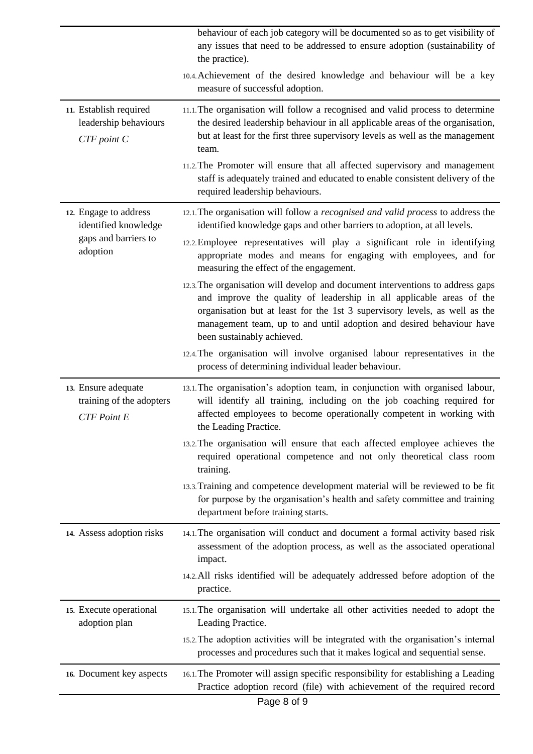| behaviour of each job category will be documented so as to get visibility of<br>any issues that need to be addressed to ensure adoption (sustainability of<br>the practice).                                                                                                                                                               |
|--------------------------------------------------------------------------------------------------------------------------------------------------------------------------------------------------------------------------------------------------------------------------------------------------------------------------------------------|
| 10.4. Achievement of the desired knowledge and behaviour will be a key<br>measure of successful adoption.                                                                                                                                                                                                                                  |
| 11.1. The organisation will follow a recognised and valid process to determine<br>the desired leadership behaviour in all applicable areas of the organisation,<br>but at least for the first three supervisory levels as well as the management<br>team.                                                                                  |
| 11.2. The Promoter will ensure that all affected supervisory and management<br>staff is adequately trained and educated to enable consistent delivery of the<br>required leadership behaviours.                                                                                                                                            |
| 12.1. The organisation will follow a <i>recognised and valid process</i> to address the<br>identified knowledge gaps and other barriers to adoption, at all levels.                                                                                                                                                                        |
| 12.2. Employee representatives will play a significant role in identifying<br>appropriate modes and means for engaging with employees, and for<br>measuring the effect of the engagement.                                                                                                                                                  |
| 12.3. The organisation will develop and document interventions to address gaps<br>and improve the quality of leadership in all applicable areas of the<br>organisation but at least for the 1st 3 supervisory levels, as well as the<br>management team, up to and until adoption and desired behaviour have<br>been sustainably achieved. |
| 12.4. The organisation will involve organised labour representatives in the<br>process of determining individual leader behaviour.                                                                                                                                                                                                         |
| 13.1. The organisation's adoption team, in conjunction with organised labour,<br>will identify all training, including on the job coaching required for<br>affected employees to become operationally competent in working with<br>the Leading Practice.                                                                                   |
| 13.2. The organisation will ensure that each affected employee achieves the<br>required operational competence and not only theoretical class room<br>training.                                                                                                                                                                            |
| 13.3. Training and competence development material will be reviewed to be fit<br>for purpose by the organisation's health and safety committee and training<br>department before training starts.                                                                                                                                          |
| 14.1. The organisation will conduct and document a formal activity based risk<br>assessment of the adoption process, as well as the associated operational<br>impact.                                                                                                                                                                      |
| 14.2. All risks identified will be adequately addressed before adoption of the<br>practice.                                                                                                                                                                                                                                                |
| 15.1. The organisation will undertake all other activities needed to adopt the<br>Leading Practice.                                                                                                                                                                                                                                        |
| 15.2. The adoption activities will be integrated with the organisation's internal<br>processes and procedures such that it makes logical and sequential sense.                                                                                                                                                                             |
| 16.1. The Promoter will assign specific responsibility for establishing a Leading<br>Practice adoption record (file) with achievement of the required record                                                                                                                                                                               |
|                                                                                                                                                                                                                                                                                                                                            |